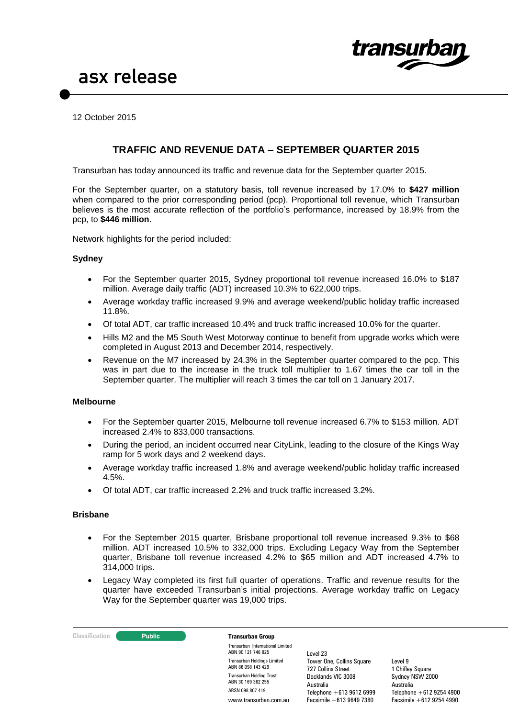

12 October 2015

# **TRAFFIC AND REVENUE DATA – SEPTEMBER QUARTER 2015**

Transurban has today announced its traffic and revenue data for the September quarter 2015.

For the September quarter, on a statutory basis, toll revenue increased by 17.0% to **\$427 million**  when compared to the prior corresponding period (pcp). Proportional toll revenue, which Transurban believes is the most accurate reflection of the portfolio's performance, increased by 18.9% from the pcp, to **\$446 million**.

Network highlights for the period included:

### **Sydney**

- For the September quarter 2015, Sydney proportional toll revenue increased 16.0% to \$187 million. Average daily traffic (ADT) increased 10.3% to 622,000 trips.
- Average workday traffic increased 9.9% and average weekend/public holiday traffic increased 11.8%.
- Of total ADT, car traffic increased 10.4% and truck traffic increased 10.0% for the quarter.
- Hills M2 and the M5 South West Motorway continue to benefit from upgrade works which were completed in August 2013 and December 2014, respectively.
- Revenue on the M7 increased by 24.3% in the September quarter compared to the pcp. This was in part due to the increase in the truck toll multiplier to 1.67 times the car toll in the September quarter. The multiplier will reach 3 times the car toll on 1 January 2017.

#### **Melbourne**

- For the September quarter 2015, Melbourne toll revenue increased 6.7% to \$153 million. ADT increased 2.4% to 833,000 transactions.
- During the period, an incident occurred near CityLink, leading to the closure of the Kings Way ramp for 5 work days and 2 weekend days.
- Average workday traffic increased 1.8% and average weekend/public holiday traffic increased 4.5%.
- Of total ADT, car traffic increased 2.2% and truck traffic increased 3.2%.

### **Brisbane**

- For the September 2015 quarter, Brisbane proportional toll revenue increased 9.3% to \$68 million. ADT increased 10.5% to 332,000 trips. Excluding Legacy Way from the September quarter, Brisbane toll revenue increased 4.2% to \$65 million and ADT increased 4.7% to 314,000 trips.
- Legacy Way completed its first full quarter of operations. Traffic and revenue results for the quarter have exceeded Transurban's initial projections. Average workday traffic on Legacy Way for the September quarter was 19,000 trips.

**Classification Transurban Group** 

Transurban International Limited ABN 90 121 746 825 Transurban Holdings Limited ABN 86 098 143 429 Transurban Holding Trust ABN 30 169 362 255 ARSN 098 807 419 www.transurban.com.au

Level 23 Tower One, Collins Square 727 Collins Street Docklands VIC 3008 Australia Telephone +613 9612 6999 Facsimile +613 9649 7380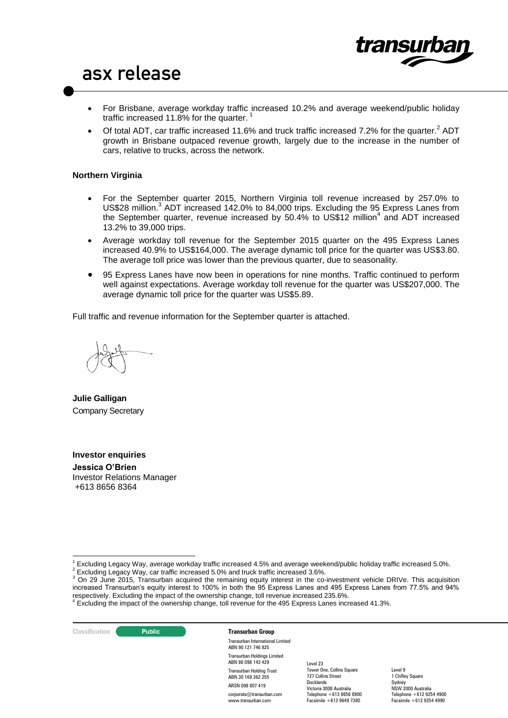

- For Brisbane, average workday traffic increased 10.2% and average weekend/public holiday traffic increased 11.8% for the quarter.<sup>1</sup>
- Of total ADT, car traffic increased 11.6% and truck traffic increased 7.2% for the quarter.<sup>2</sup> ADT growth in Brisbane outpaced revenue growth, largely due to the increase in the number of cars, relative to trucks, across the network.

## **Northern Virginia**

- For the September quarter 2015, Northern Virginia toll revenue increased by 257.0% to US\$28 million.<sup>3</sup> ADT increased 142.0% to 84,000 trips. Excluding the 95 Express Lanes from the September quarter, revenue increased by 50.4% to US\$12 million<sup>4</sup> and ADT increased 13.2% to 39,000 trips.
- Average workday toll revenue for the September 2015 quarter on the 495 Express Lanes increased 40.9% to US\$164,000. The average dynamic toll price for the quarter was US\$3.80. The average toll price was lower than the previous quarter, due to seasonality.
- 95 Express Lanes have now been in operations for nine months. Traffic continued to perform well against expectations. Average workday toll revenue for the quarter was US\$207,000. The average dynamic toll price for the quarter was US\$5.89.

Full traffic and revenue information for the September quarter is attached.

**Julie Galligan** Company Secretary

# **Investor enquiries**

**Jessica O'Brien**  Investor Relations Manager +613 8656 8364

**Classification C Public Transurban Group** 

<u>.</u>

Transurban International Limited ABN 90 121 746 825 Transurban Holdings Limited ABN 86 098 143 429 Transurban Holding Trust ABN 30 169 362 255 ARSN 098 807 419 corporate@transurban.com www.transurban.com

Level 23 Tower One, Collins Square 727 Collins Street Docklands Victoria 3008 Australia Telephone +613 8656 8900 Facsimile +613 9649 7380

<sup>1</sup> Excluding Legacy Way, average workday traffic increased 4.5% and average weekend/public holiday traffic increased 5.0%.

<sup>&</sup>lt;sup>2</sup> Excluding Legacy Way, car traffic increased 5.0% and truck traffic increased 3.6%.

<sup>3</sup> On 29 June 2015, Transurban acquired the remaining equity interest in the co-investment vehicle DRIVe. This acquisition increased Transurban's equity interest to 100% in both the 95 Express Lanes and 495 Express Lanes from 77.5% and 94%

respectively. Excluding the impact of the ownership change, toll revenue increased 235.6%.<br><sup>4</sup> Excluding the impact of the ownership change, toll revenue for the 495 Express Lanes increased 41.3%.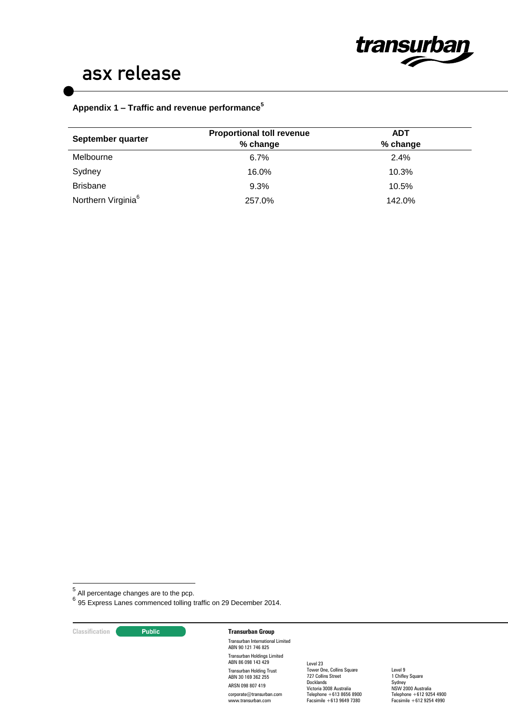

# **Appendix 1 – Traffic and revenue performance<sup>5</sup>**

| September quarter              | <b>Proportional toll revenue</b><br>% change | ADT<br>% change |  |
|--------------------------------|----------------------------------------------|-----------------|--|
| Melbourne                      | $6.7\%$                                      | 2.4%            |  |
| Sydney                         | 16.0%                                        | 10.3%           |  |
| <b>Brisbane</b>                | 9.3%                                         | 10.5%           |  |
| Northern Virginia <sup>6</sup> | 257.0%                                       | 142.0%          |  |

—<br><sup>5</sup> All percentage changes are to the pcp.<br><sup>6</sup> 95 Express Lanes commenced tolling traffic on 29 December 2014.

## **Classification Public <b>Transurban Group**

Transurban International Limited ABN 90 121 746 825 Transurban Holdings Limited ABN 86 098 143 429 Transurban Holding Trust ABN 30 169 362 255 ARSN 098 807 419 corporate@transurban.com www.transurban.com

Level 23 Tower One, Collins Square 727 Collins Street **Docklands** Victoria 3008 Australia Telephone +613 8656 8900 Facsimile +613 9649 7380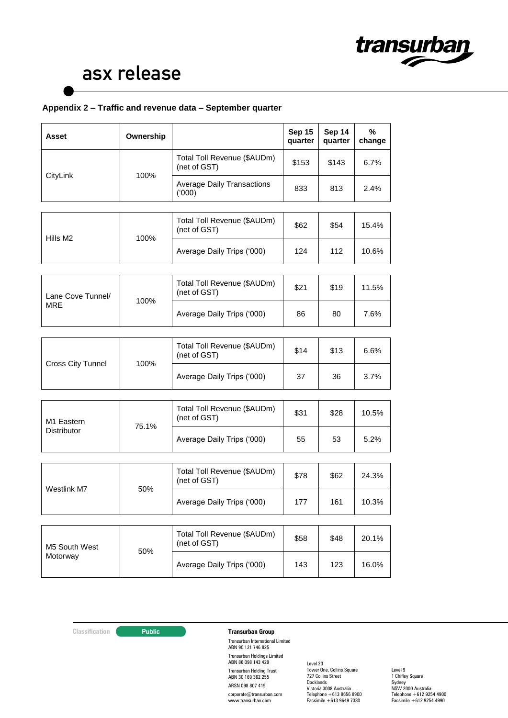

# **Appendix 2 – Traffic and revenue data – September quarter**

| Asset                           | Ownership |                                                      | Sep 15<br>quarter | Sep 14<br>quarter | %<br>change |
|---------------------------------|-----------|------------------------------------------------------|-------------------|-------------------|-------------|
| CityLink                        | 100%      | Total Toll Revenue (\$AUDm)<br>\$153<br>(net of GST) |                   | \$143             | 6.7%        |
|                                 |           | <b>Average Daily Transactions</b><br>(000)           | 833               | 813               | 2.4%        |
|                                 |           |                                                      |                   |                   |             |
| Hills M2                        | 100%      | Total Toll Revenue (\$AUDm)<br>(net of GST)          | \$62              | \$54              | 15.4%       |
|                                 |           | Average Daily Trips ('000)                           | 124               | 112               | 10.6%       |
|                                 |           |                                                      |                   |                   |             |
| Lane Cove Tunnel/<br><b>MRE</b> | 100%      | Total Toll Revenue (\$AUDm)<br>(net of GST)          | \$21              | \$19              | 11.5%       |
|                                 |           | Average Daily Trips ('000)                           | 86                | 80                | 7.6%        |
|                                 |           |                                                      |                   |                   |             |
| <b>Cross City Tunnel</b>        | 100%      | Total Toll Revenue (\$AUDm)<br>(net of GST)          | \$14              | \$13              | 6.6%        |
|                                 |           | Average Daily Trips ('000)                           | 37                | 36                | 3.7%        |
|                                 |           |                                                      |                   |                   |             |
| M1 Eastern<br>Distributor       | 75.1%     | Total Toll Revenue (\$AUDm)<br>(net of GST)          | \$31              | \$28              | 10.5%       |
|                                 |           | Average Daily Trips ('000)                           | 55                | 53                | 5.2%        |
|                                 |           |                                                      |                   |                   |             |
| Westlink M7                     | 50%       | Total Toll Revenue (\$AUDm)<br>(net of GST)          | \$78              | \$62              | 24.3%       |
|                                 |           | Average Daily Trips ('000)                           | 177               | 161               | 10.3%       |
|                                 |           |                                                      |                   |                   |             |
| M5 South West<br>Motorway       | 50%       | Total Toll Revenue (\$AUDm)<br>(net of GST)          | \$58              | \$48              | 20.1%       |
|                                 |           | Average Daily Trips ('000)                           | 143               | 123               | 16.0%       |

# **Classification Transurban Group**

Transurban International Limited ABN 90 121 746 825 Transurban Holdings Limited ABN 86 098 143 429 Transurban Holding Trust ABN 30 169 362 255 ARSN 098 807 419 corporate@transurban.com www.transurban.com

Level 23 Tower One, Collins Square 727 Collins Street **Docklands** Victoria 3008 Australia Telephone +613 8656 8900 Facsimile +613 9649 7380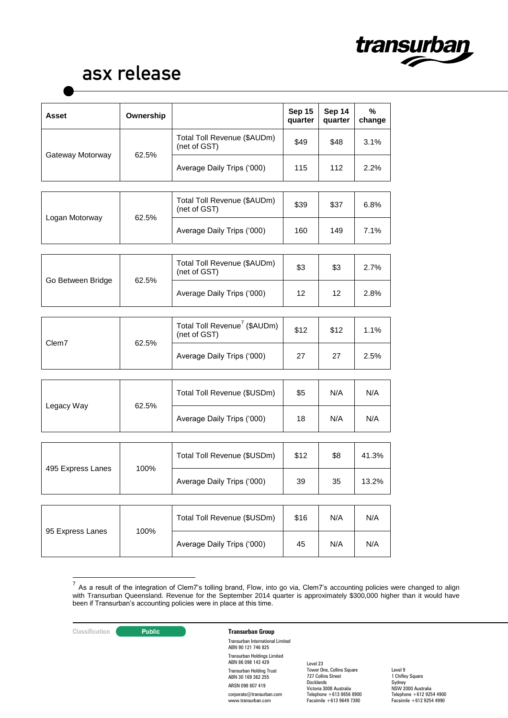

| <b>Asset</b>      | Ownership |                                                          | Sep 15<br>quarter | Sep 14<br>quarter | $\%$<br>change |
|-------------------|-----------|----------------------------------------------------------|-------------------|-------------------|----------------|
| Gateway Motorway  | 62.5%     | Total Toll Revenue (\$AUDm)<br>(net of GST)              | \$49              | \$48              | 3.1%           |
|                   |           | Average Daily Trips ('000)                               | 115               | 112               | 2.2%           |
|                   |           |                                                          |                   |                   |                |
| Logan Motorway    | 62.5%     | Total Toll Revenue (\$AUDm)<br>(net of GST)              | \$39              | \$37              | 6.8%           |
|                   |           | Average Daily Trips ('000)                               | 160               | 149               | 7.1%           |
|                   |           |                                                          |                   |                   |                |
| Go Between Bridge | 62.5%     | Total Toll Revenue (\$AUDm)<br>(net of GST)              | \$3               | \$3               | 2.7%           |
|                   |           | Average Daily Trips ('000)                               | 12                | 12                | 2.8%           |
|                   |           |                                                          |                   |                   |                |
| Clem7             | 62.5%     | Total Toll Revenue <sup>7</sup> (\$AUDm)<br>(net of GST) | \$12              | \$12              | 1.1%           |
|                   |           | Average Daily Trips ('000)                               | 27                | 27                | 2.5%           |
|                   |           |                                                          |                   |                   |                |
| Legacy Way        | 62.5%     | Total Toll Revenue (\$USDm)                              | \$5               | N/A               | N/A            |
|                   |           | Average Daily Trips ('000)                               | 18                | N/A               | N/A            |
|                   |           |                                                          |                   |                   |                |
| 495 Express Lanes | 100%      | Total Toll Revenue (\$USDm)                              | \$12              | \$8               | 41.3%          |
|                   |           | Average Daily Trips ('000)                               | 39                | 35                | 13.2%          |
|                   |           |                                                          |                   |                   |                |
| 95 Express Lanes  | 100%      | Total Toll Revenue (\$USDm)                              | \$16              | N/A               | N/A            |
|                   |           | Average Daily Trips ('000)                               | 45                | N/A               | N/A            |

 7 As a result of the integration of Clem7's tolling brand, Flow, into go via, Clem7's accounting policies were changed to align with Transurban Queensland. Revenue for the September 2014 quarter is approximately \$300,000 higher than it would have been if Transurban's accounting policies were in place at this time.

## **Classification Transurban Group**

Transurban International Limited ABN 90 121 746 825 Transurban Holdings Limited ABN 86 098 143 429 Transurban Holding Trust ABN 30 169 362 255 ARSN 098 807 419 corporate@transurban.com www.transurban.com

Level 23 Tower One, Collins Square 727 Collins Street **Docklands** Victoria 3008 Australia Telephone +613 8656 8900 Facsimile +613 9649 7380